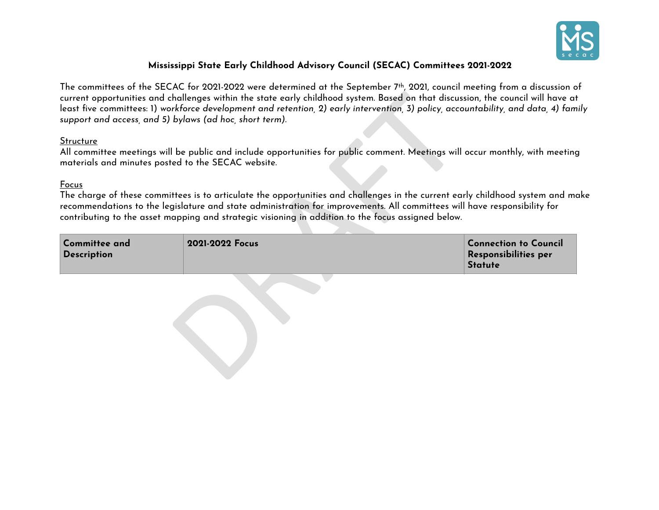

## **Mississippi State Early Childhood Advisory Council (SECAC) Committees 2021-2022**

The committees of the SECAC for 2021-2022 were determined at the September 7th, 2021, council meeting from a discussion of current opportunities and challenges within the state early childhood system. Based on that discussion, the council will have at least five committees: 1) *workforce development and retention, 2) early intervention, 3) policy, accountability, and data, 4) family support and access, and 5) bylaws (ad hoc, short term).* 

## **Structure**

## Focus

| support and access, and 5) bylaws (ad hoc, short term).         |                                                                                                                                                                                                                                 | current opportunities and challenges within the state early childhood system. Based on that discussion, the council will have a<br>least five committees: 1) workforce development and retention, 2) early intervention, 3) policy, accountability, and data, 4) fai |
|-----------------------------------------------------------------|---------------------------------------------------------------------------------------------------------------------------------------------------------------------------------------------------------------------------------|----------------------------------------------------------------------------------------------------------------------------------------------------------------------------------------------------------------------------------------------------------------------|
| Structure<br>materials and minutes posted to the SECAC website. |                                                                                                                                                                                                                                 | All committee meetings will be public and include opportunities for public comment. Meetings will occur monthly, with meetir                                                                                                                                         |
| Focus                                                           | recommendations to the legislature and state administration for improvements. All committees will have responsibility for<br>contributing to the asset mapping and strategic visioning in addition to the focus assigned below. | The charge of these committees is to articulate the opportunities and challenges in the current early childhood system and n                                                                                                                                         |
| <b>Committee and</b><br><b>Description</b>                      | 2021-2022 Focus                                                                                                                                                                                                                 | <b>Connection to Council</b><br>Responsibilities per<br><b>Statute</b>                                                                                                                                                                                               |
|                                                                 |                                                                                                                                                                                                                                 |                                                                                                                                                                                                                                                                      |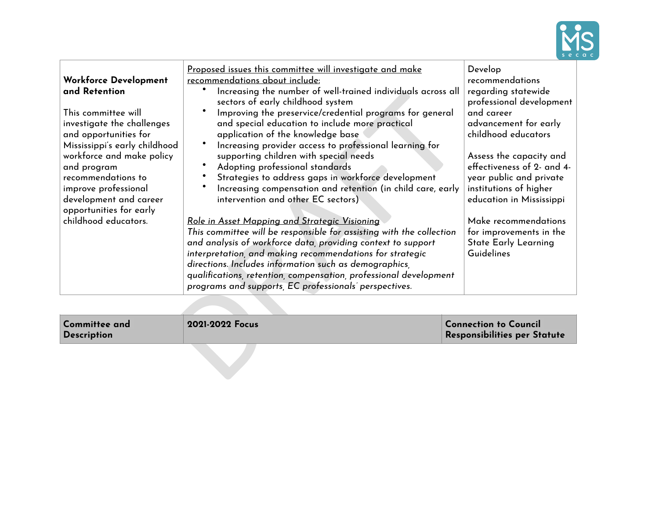

| Workforce Development<br>and Retention<br>This committee will<br>investigate the challenges<br>and opportunities for<br>Mississippi's early childhood<br>workforce and make policy<br>and program<br>recommendations to<br>improve professional<br>development and career<br>opportunities for early<br>childhood educators. | Proposed issues this committee will investigate and make<br>recommendations about include:<br>Increasing the number of well-trained individuals across all<br>sectors of early childhood system<br>Improving the preservice/credential programs for general<br>and special education to include more practical<br>application of the knowledge base<br>Increasing provider access to professional learning for<br>supporting children with special needs<br>Adopting professional standards<br>Strategies to address gaps in workforce development<br>Increasing compensation and retention (in child care, early<br>intervention and other EC sectors)<br><u>Role in Asset Mapping and Strategic Visioning</u><br>This committee will be responsible for assisting with the collection<br>and analysis of workforce data, providing context to support<br>interpretation, and making recommendations for strategic<br>directions. Includes information such as demographics,<br>qualifications, retention, compensation, professional development<br>programs and supports, EC professionals' perspectives. | Develop<br>recommendations<br>regarding statewide<br>professional development<br>and career<br>advancement for early<br>childhood educators<br>Assess the capacity and<br>effectiveness of 2- and 4-<br>year public and private<br>institutions of higher<br>education in Mississippi<br>Make recommendations<br>for improvements in the<br><b>State Early Learning</b><br>Guidelines |
|------------------------------------------------------------------------------------------------------------------------------------------------------------------------------------------------------------------------------------------------------------------------------------------------------------------------------|--------------------------------------------------------------------------------------------------------------------------------------------------------------------------------------------------------------------------------------------------------------------------------------------------------------------------------------------------------------------------------------------------------------------------------------------------------------------------------------------------------------------------------------------------------------------------------------------------------------------------------------------------------------------------------------------------------------------------------------------------------------------------------------------------------------------------------------------------------------------------------------------------------------------------------------------------------------------------------------------------------------------------------------------------------------------------------------------------------------|---------------------------------------------------------------------------------------------------------------------------------------------------------------------------------------------------------------------------------------------------------------------------------------------------------------------------------------------------------------------------------------|
| <b>Committee and</b><br><b>Description</b>                                                                                                                                                                                                                                                                                   | 2021-2022 Focus                                                                                                                                                                                                                                                                                                                                                                                                                                                                                                                                                                                                                                                                                                                                                                                                                                                                                                                                                                                                                                                                                              | <b>Connection to Council</b><br>Responsibilities per Statute                                                                                                                                                                                                                                                                                                                          |
|                                                                                                                                                                                                                                                                                                                              |                                                                                                                                                                                                                                                                                                                                                                                                                                                                                                                                                                                                                                                                                                                                                                                                                                                                                                                                                                                                                                                                                                              |                                                                                                                                                                                                                                                                                                                                                                                       |

| Committee and<br><b>Description</b> | 2021-2022 Focus | <b>Connection to Council</b><br>Responsibilities per Statute |
|-------------------------------------|-----------------|--------------------------------------------------------------|
|                                     |                 |                                                              |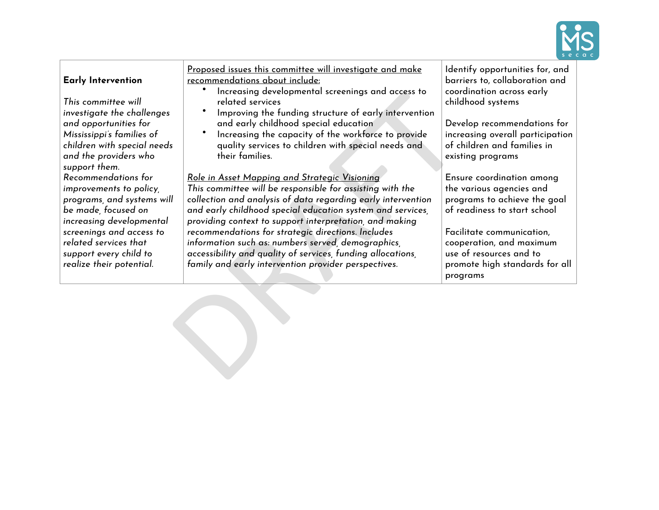

| Early Intervention<br>This committee will<br>investigate the challenges<br>and opportunities for<br>Mississippi's families of<br>children with special needs<br>and the providers who<br>support them.                                     | Proposed issues this committee will investigate and make<br>recommendations about include:<br>Increasing developmental screenings and access to<br>related services<br>Improving the funding structure of early intervention<br>and early childhood special education<br>Increasing the capacity of the workforce to provide<br>quality services to children with special needs and<br>their families.                                                                                                                                        | Identify opportunities for, and<br>barriers to, collaboration and<br>coordination across early<br>childhood systems<br>Develop recommendations for<br>increasing overall participation<br>of children and families in<br>existing programs              |  |
|--------------------------------------------------------------------------------------------------------------------------------------------------------------------------------------------------------------------------------------------|-----------------------------------------------------------------------------------------------------------------------------------------------------------------------------------------------------------------------------------------------------------------------------------------------------------------------------------------------------------------------------------------------------------------------------------------------------------------------------------------------------------------------------------------------|---------------------------------------------------------------------------------------------------------------------------------------------------------------------------------------------------------------------------------------------------------|--|
| Recommendations for<br>improvements to policy,<br>programs, and systems will<br>be made, focused on<br>increasing developmental<br>screenings and access to<br>related services that<br>support every child to<br>realize their potential. | <u>Role in Asset Mapping and Strategic Visioning</u><br>This committee will be responsible for assisting with the<br>collection and analysis of data regarding early intervention<br>and early childhood special education system and services,<br>providing context to support interpretation, and making<br>recommendations for strategic directions. Includes<br>information such as: numbers served, demographics,<br>accessibility and quality of services, funding allocations,<br>family and early intervention provider perspectives. | Ensure coordination among<br>the various agencies and<br>programs to achieve the goal<br>of readiness to start school<br>Facilitate communication,<br>cooperation, and maximum<br>use of resources and to<br>promote high standards for all<br>programs |  |
|                                                                                                                                                                                                                                            |                                                                                                                                                                                                                                                                                                                                                                                                                                                                                                                                               |                                                                                                                                                                                                                                                         |  |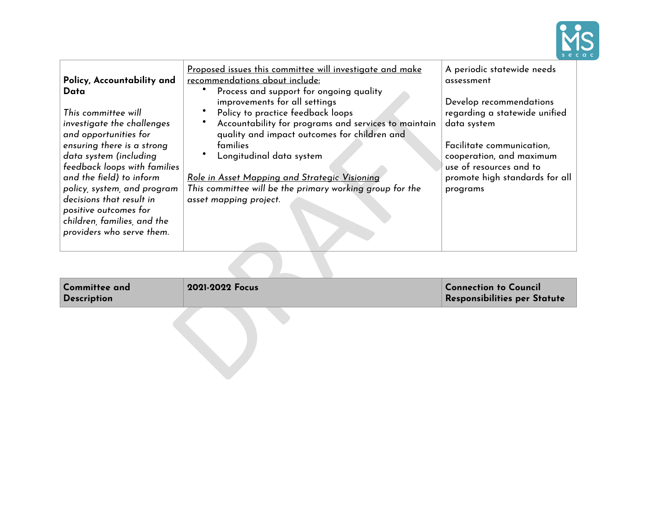

| Policy, Accountability and<br>Data<br>This committee will<br>investigate the challenges<br>and opportunities for<br>ensuring there is a strong<br>data system (including<br>feedback loops with families<br>and the field) to inform<br>policy, system, and program<br>decisions that result in<br>positive outcomes for<br>children, families, and the<br>providers who serve them. | Proposed issues this committee will investigate and make<br>recommendations about include:<br>Process and support for ongoing quality<br>improvements for all settings<br>Policy to practice feedback loops<br>Accountability for programs and services to maintain<br>quality and impact outcomes for children and<br>families<br>Longitudinal data system<br><u>Role in Asset Mapping and Strategic Visioning</u><br>This committee will be the primary working group for the<br>asset mapping project. | A periodic statewide needs<br>assessment<br>Develop recommendations<br>regarding a statewide unified<br>data system<br>Facilitate communication,<br>cooperation, and maximum<br>use of resources and to<br>promote high standards for all<br>programs |
|--------------------------------------------------------------------------------------------------------------------------------------------------------------------------------------------------------------------------------------------------------------------------------------------------------------------------------------------------------------------------------------|-----------------------------------------------------------------------------------------------------------------------------------------------------------------------------------------------------------------------------------------------------------------------------------------------------------------------------------------------------------------------------------------------------------------------------------------------------------------------------------------------------------|-------------------------------------------------------------------------------------------------------------------------------------------------------------------------------------------------------------------------------------------------------|
|                                                                                                                                                                                                                                                                                                                                                                                      |                                                                                                                                                                                                                                                                                                                                                                                                                                                                                                           |                                                                                                                                                                                                                                                       |
| <b>Committee and</b><br>Description                                                                                                                                                                                                                                                                                                                                                  | 2021-2022 Focus                                                                                                                                                                                                                                                                                                                                                                                                                                                                                           | <b>Connection to Council</b><br>Responsibilities per Statute                                                                                                                                                                                          |
|                                                                                                                                                                                                                                                                                                                                                                                      |                                                                                                                                                                                                                                                                                                                                                                                                                                                                                                           |                                                                                                                                                                                                                                                       |

| Committee and<br>Description | 2021-2022 Focus | Connection to Council<br>Responsibilities per Statute |
|------------------------------|-----------------|-------------------------------------------------------|
|------------------------------|-----------------|-------------------------------------------------------|